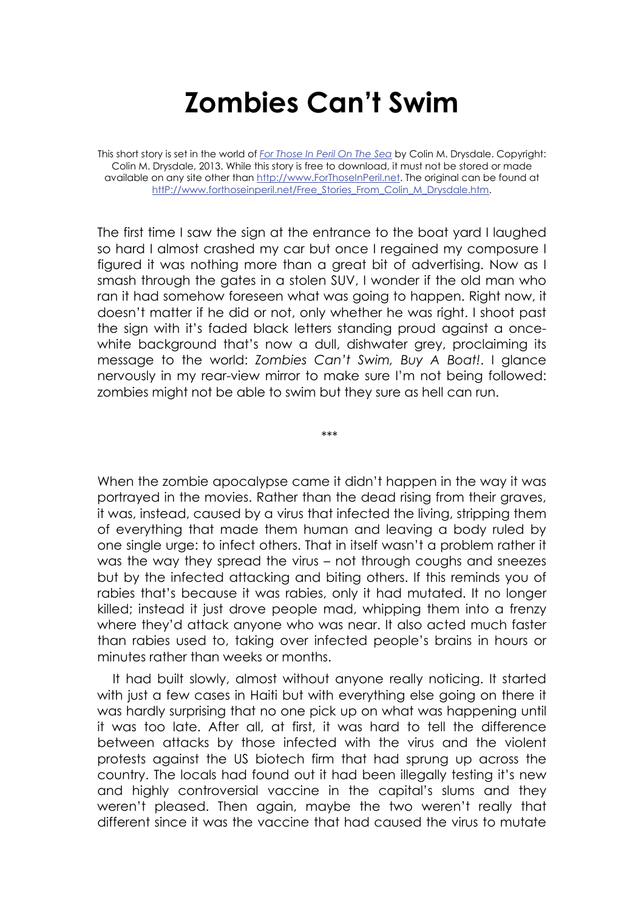## **Zombies Can't Swim**

This short story is set in the world of *For Those In Peril On The Sea* by Colin M. Drysdale. Copyright: Colin M. Drysdale, 2013. While this story is free to download, it must not be stored or made available on any site other than http://www.ForThoseInPeril.net. The original can be found at http://www.forthoseinperil.net/Free\_Stories\_From\_Colin\_M\_Drysdale.htm.

The first time I saw the sign at the entrance to the boat yard I laughed so hard I almost crashed my car but once I regained my composure I figured it was nothing more than a great bit of advertising. Now as I smash through the gates in a stolen SUV, I wonder if the old man who ran it had somehow foreseen what was going to happen. Right now, it doesn't matter if he did or not, only whether he was right. I shoot past the sign with it's faded black letters standing proud against a oncewhite background that's now a dull, dishwater grey, proclaiming its message to the world: *Zombies Can't Swim, Buy A Boat!*. I glance nervously in my rear-view mirror to make sure I'm not being followed: zombies might not be able to swim but they sure as hell can run.

\*\*\*

When the zombie apocalypse came it didn't happen in the way it was portrayed in the movies. Rather than the dead rising from their graves, it was, instead, caused by a virus that infected the living, stripping them of everything that made them human and leaving a body ruled by one single urge: to infect others. That in itself wasn't a problem rather it was the way they spread the virus – not through coughs and sneezes but by the infected attacking and biting others. If this reminds you of rabies that's because it was rabies, only it had mutated. It no longer killed; instead it just drove people mad, whipping them into a frenzy where they'd attack anyone who was near. It also acted much faster than rabies used to, taking over infected people's brains in hours or minutes rather than weeks or months.

It had built slowly, almost without anyone really noticing. It started with just a few cases in Haiti but with everything else going on there it was hardly surprising that no one pick up on what was happening until it was too late. After all, at first, it was hard to tell the difference between attacks by those infected with the virus and the violent protests against the US biotech firm that had sprung up across the country. The locals had found out it had been illegally testing it's new and highly controversial vaccine in the capital's slums and they weren't pleased. Then again, maybe the two weren't really that different since it was the vaccine that had caused the virus to mutate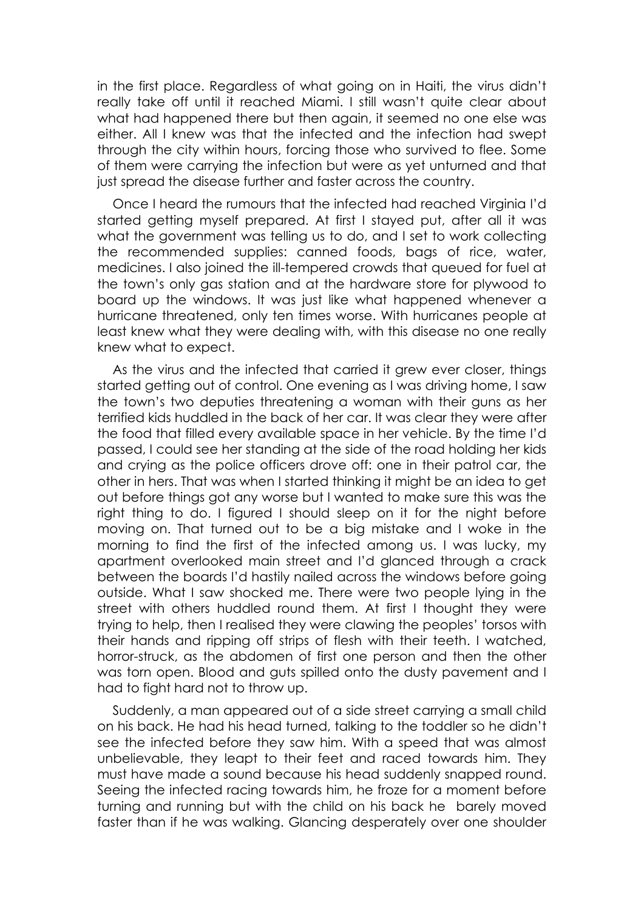in the first place. Regardless of what going on in Haiti, the virus didn't really take off until it reached Miami. I still wasn't quite clear about what had happened there but then again, it seemed no one else was either. All I knew was that the infected and the infection had swept through the city within hours, forcing those who survived to flee. Some of them were carrying the infection but were as yet unturned and that just spread the disease further and faster across the country.

Once I heard the rumours that the infected had reached Virginia I'd started getting myself prepared. At first I stayed put, after all it was what the government was telling us to do, and I set to work collecting the recommended supplies: canned foods, bags of rice, water, medicines. I also joined the ill-tempered crowds that queued for fuel at the town's only gas station and at the hardware store for plywood to board up the windows. It was just like what happened whenever a hurricane threatened, only ten times worse. With hurricanes people at least knew what they were dealing with, with this disease no one really knew what to expect.

As the virus and the infected that carried it grew ever closer, things started getting out of control. One evening as I was driving home, I saw the town's two deputies threatening a woman with their guns as her terrified kids huddled in the back of her car. It was clear they were after the food that filled every available space in her vehicle. By the time I'd passed, I could see her standing at the side of the road holding her kids and crying as the police officers drove off: one in their patrol car, the other in hers. That was when I started thinking it might be an idea to get out before things got any worse but I wanted to make sure this was the right thing to do. I figured I should sleep on it for the night before moving on. That turned out to be a big mistake and I woke in the morning to find the first of the infected among us. I was lucky, my apartment overlooked main street and I'd glanced through a crack between the boards I'd hastily nailed across the windows before going outside. What I saw shocked me. There were two people lying in the street with others huddled round them. At first I thought they were trying to help, then I realised they were clawing the peoples' torsos with their hands and ripping off strips of flesh with their teeth. I watched, horror-struck, as the abdomen of first one person and then the other was torn open. Blood and guts spilled onto the dusty pavement and I had to fight hard not to throw up.

Suddenly, a man appeared out of a side street carrying a small child on his back. He had his head turned, talking to the toddler so he didn't see the infected before they saw him. With a speed that was almost unbelievable, they leapt to their feet and raced towards him. They must have made a sound because his head suddenly snapped round. Seeing the infected racing towards him, he froze for a moment before turning and running but with the child on his back he barely moved faster than if he was walking. Glancing desperately over one shoulder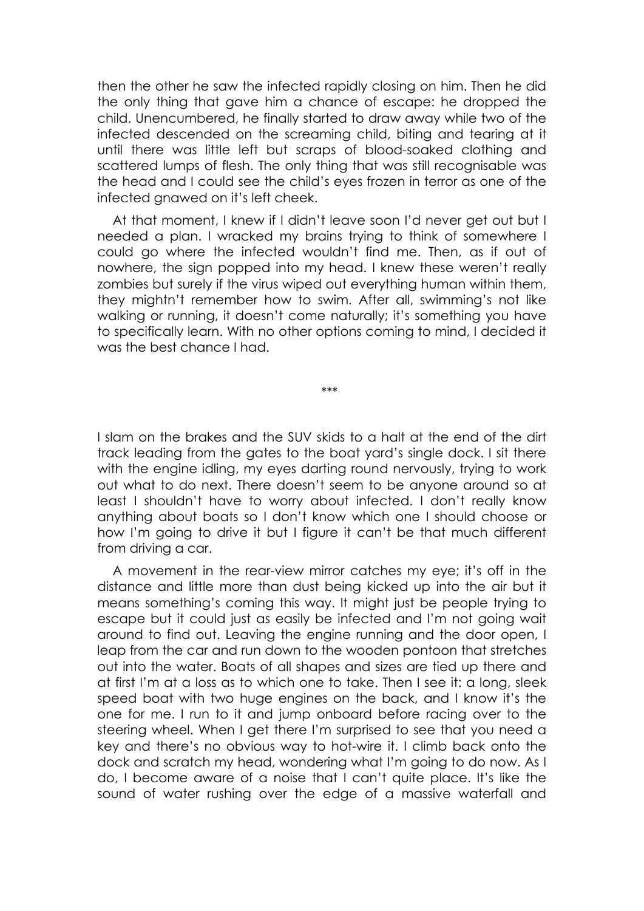then the other he saw the infected rapidly closing on him. Then he did the only thing that gave him a chance of escape: he dropped the child. Unencumbered, he finally started to draw away while two of the infected descended on the screaming child, biting and tearing at it until there was little left but scraps of blood-soaked clothing and scattered lumps of flesh. The only thing that was still recognisable was the head and I could see the child's eyes frozen in terror as one of the infected gnawed on it's left cheek.

At that moment, I knew if I didn't leave soon I'd never get out but I needed a plan. I wracked my brains trying to think of somewhere I could go where the infected wouldn't find me. Then, as if out of nowhere, the sign popped into my head. I knew these weren't really zombies but surely if the virus wiped out everything human within them, they mightn't remember how to swim. After all, swimming's not like walking or running, it doesn't come naturally; it's something you have to specifically learn. With no other options coming to mind, I decided it was the best chance I had.

\*\*\*

I slam on the brakes and the SUV skids to a halt at the end of the dirt track leading from the gates to the boat yard's single dock. I sit there with the engine idling, my eyes darting round nervously, trying to work out what to do next. There doesn't seem to be anyone around so at least I shouldn't have to worry about infected. I don't really know anything about boats so I don't know which one I should choose or how I'm going to drive it but I figure it can't be that much different from driving a car.

A movement in the rear-view mirror catches my eye; it's off in the distance and little more than dust being kicked up into the air but it means something's coming this way. It might just be people trying to escape but it could just as easily be infected and I'm not going wait around to find out. Leaving the engine running and the door open, I leap from the car and run down to the wooden pontoon that stretches out into the water. Boats of all shapes and sizes are tied up there and at first I'm at a loss as to which one to take. Then I see it: a long, sleek speed boat with two huge engines on the back, and I know it's the one for me. I run to it and jump onboard before racing over to the steering wheel. When I get there I'm surprised to see that you need a key and there's no obvious way to hot-wire it. I climb back onto the dock and scratch my head, wondering what I'm going to do now. As I do, I become aware of a noise that I can't quite place. It's like the sound of water rushing over the edge of a massive waterfall and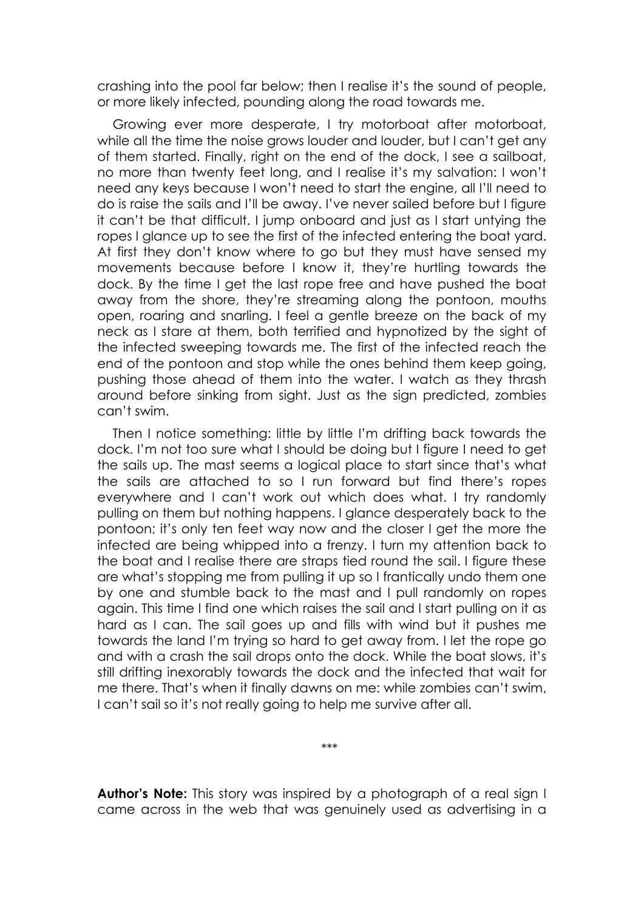crashing into the pool far below; then I realise it's the sound of people, or more likely infected, pounding along the road towards me.

Growing ever more desperate, I try motorboat after motorboat, while all the time the noise grows louder and louder, but I can't get any of them started. Finally, right on the end of the dock, I see a sailboat, no more than twenty feet long, and I realise it's my salvation: I won't need any keys because I won't need to start the engine, all I'll need to do is raise the sails and I'll be away. I've never sailed before but I figure it can't be that difficult. I jump onboard and just as I start untying the ropes I glance up to see the first of the infected entering the boat yard. At first they don't know where to go but they must have sensed my movements because before I know it, they're hurtling towards the dock. By the time I get the last rope free and have pushed the boat away from the shore, they're streaming along the pontoon, mouths open, roaring and snarling. I feel a gentle breeze on the back of my neck as I stare at them, both terrified and hypnotized by the sight of the infected sweeping towards me. The first of the infected reach the end of the pontoon and stop while the ones behind them keep going, pushing those ahead of them into the water. I watch as they thrash around before sinking from sight. Just as the sign predicted, zombies can't swim.

Then I notice something: little by little I'm drifting back towards the dock. I'm not too sure what I should be doing but I figure I need to get the sails up. The mast seems a logical place to start since that's what the sails are attached to so I run forward but find there's ropes everywhere and I can't work out which does what. I try randomly pulling on them but nothing happens. I glance desperately back to the pontoon; it's only ten feet way now and the closer I get the more the infected are being whipped into a frenzy. I turn my attention back to the boat and I realise there are straps tied round the sail. I figure these are what's stopping me from pulling it up so I frantically undo them one by one and stumble back to the mast and I pull randomly on ropes again. This time I find one which raises the sail and I start pulling on it as hard as I can. The sail goes up and fills with wind but it pushes me towards the land I'm trying so hard to get away from. I let the rope go and with a crash the sail drops onto the dock. While the boat slows, it's still drifting inexorably towards the dock and the infected that wait for me there. That's when it finally dawns on me: while zombies can't swim, I can't sail so it's not really going to help me survive after all.

**Author's Note:** This story was inspired by a photograph of a real sign I came across in the web that was genuinely used as advertising in a

\*\*\*